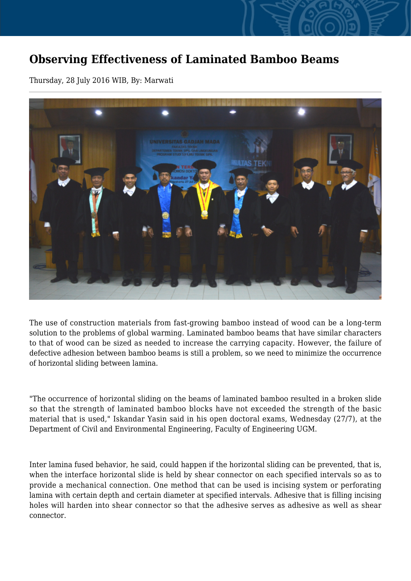## **Observing Effectiveness of Laminated Bamboo Beams**

Thursday, 28 July 2016 WIB, By: Marwati



The use of construction materials from fast-growing bamboo instead of wood can be a long-term solution to the problems of global warming. Laminated bamboo beams that have similar characters to that of wood can be sized as needed to increase the carrying capacity. However, the failure of defective adhesion between bamboo beams is still a problem, so we need to minimize the occurrence of horizontal sliding between lamina.

"The occurrence of horizontal sliding on the beams of laminated bamboo resulted in a broken slide so that the strength of laminated bamboo blocks have not exceeded the strength of the basic material that is used," Iskandar Yasin said in his open doctoral exams, Wednesday (27/7), at the Department of Civil and Environmental Engineering, Faculty of Engineering UGM.

Inter lamina fused behavior, he said, could happen if the horizontal sliding can be prevented, that is, when the interface horizontal slide is held by shear connector on each specified intervals so as to provide a mechanical connection. One method that can be used is incising system or perforating lamina with certain depth and certain diameter at specified intervals. Adhesive that is filling incising holes will harden into shear connector so that the adhesive serves as adhesive as well as shear connector.